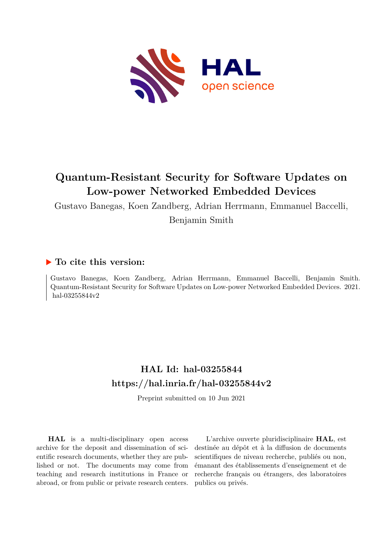

# **Quantum-Resistant Security for Software Updates on Low-power Networked Embedded Devices**

Gustavo Banegas, Koen Zandberg, Adrian Herrmann, Emmanuel Baccelli,

Benjamin Smith

# **To cite this version:**

Gustavo Banegas, Koen Zandberg, Adrian Herrmann, Emmanuel Baccelli, Benjamin Smith. Quantum-Resistant Security for Software Updates on Low-power Networked Embedded Devices. 2021. hal-03255844v2

# **HAL Id: hal-03255844 <https://hal.inria.fr/hal-03255844v2>**

Preprint submitted on 10 Jun 2021

**HAL** is a multi-disciplinary open access archive for the deposit and dissemination of scientific research documents, whether they are published or not. The documents may come from teaching and research institutions in France or abroad, or from public or private research centers.

L'archive ouverte pluridisciplinaire **HAL**, est destinée au dépôt et à la diffusion de documents scientifiques de niveau recherche, publiés ou non, émanant des établissements d'enseignement et de recherche français ou étrangers, des laboratoires publics ou privés.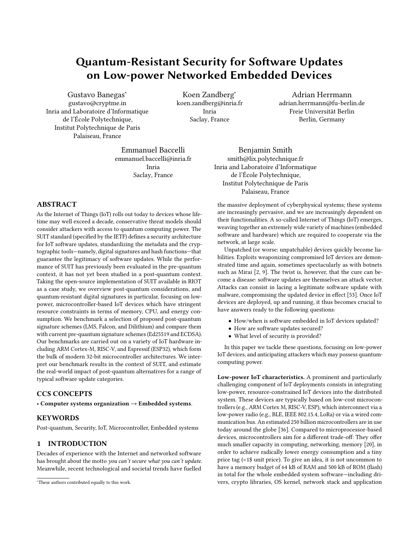# Quantum-Resistant Security for Software Updates on Low-power Networked Embedded Devices

Gustavo Banegas<sup>∗</sup> gustavo@cryptme.in Inria and Laboratoire d'Informatique de l'École Polytechnique, Institut Polytechnique de Paris Palaiseau, France

Koen Zandberg<sup>∗</sup> koen.zandberg@inria.fr Inria Saclay, France

Adrian Herrmann adrian.herrmann@fu-berlin.de Freie Universität Berlin Berlin, Germany

Emmanuel Baccelli emmanuel.baccelli@inria.fr Inria Saclay, France

# ABSTRACT

As the Internet of Things (IoT) rolls out today to devices whose lifetime may well exceed a decade, conservative threat models should consider attackers with access to quantum computing power. The SUIT standard (specified by the IETF) defines a security architecture for IoT software updates, standardizing the metadata and the cryptographic tools—namely, digital signatures and hash functions—that guarantee the legitimacy of software updates. While the performance of SUIT has previously been evaluated in the pre-quantum context, it has not yet been studied in a post-quantum context. Taking the open-source implementation of SUIT available in RIOT as a case study, we overview post-quantum considerations, and quantum-resistant digital signatures in particular, focusing on lowpower, microcontroller-based IoT devices which have stringent resource constraints in terms of memory, CPU, and energy consumption. We benchmark a selection of proposed post-quantum signature schemes (LMS, Falcon, and Dilithium) and compare them with current pre-quantum signature schemes (Ed25519 and ECDSA). Our benchmarks are carried out on a variety of IoT hardware including ARM Cortex-M, RISC-V, and Espressif (ESP32), which form the bulk of modern 32-bit microcontroller architectures. We interpret our benchmark results in the context of SUIT, and estimate the real-world impact of post-quantum alternatives for a range of typical software update categories.

# CCS CONCEPTS

• Computer systems organization → Embedded systems.

# **KEYWORDS**

Post-quantum, Security, IoT, Microcontroller, Embedded systems

# 1 INTRODUCTION

Decades of experience with the Internet and networked software has brought about the motto you can't secure what you can't update. Meanwhile, recent technological and societal trends have fuelled

Benjamin Smith smith@lix.polytechnique.fr Inria and Laboratoire d'Informatique de l'École Polytechnique, Institut Polytechnique de Paris Palaiseau, France

the massive deployment of cyberphysical systems; these systems are increasingly pervasive, and we are increasingly dependent on their functionalities. A so-called Internet of Things (IoT) emerges, weaving together an extremely wide variety of machines (embedded software and hardware) which are required to cooperate via the network, at large scale.

Unpatched (or worse: unpatchable) devices quickly become liabilities. Exploits weaponizing compromised IoT devices are demonstrated time and again, sometimes spectacularly as with botnets such as Mirai [2, 9]. The twist is, however, that the cure can become a disease: software updates are themselves an attack vector. Attacks can consist in lacing a legitimate software update with malware, compromising the updated device in effect [53]. Once IoT devices are deployed, up and running, it thus becomes crucial to have answers ready to the following questions:

- How/when is software embedded in IoT devices updated?
- How are software updates secured?
- What level of security is provided?

In this paper we tackle these questions, focusing on low-power IoT devices, and anticipating attackers which may possess quantumcomputing power.

Low-power IoT characteristics. A prominent and particularly challenging component of IoT deployments consists in integrating low-power, resource-constrained IoT devices into the distributed system. These devices are typically based on low-cost microcontrollers (e.g., ARM Cortex M, RISC-V, ESP), which interconnect via a low-power radio (e.g., BLE, IEEE 802.15.4, LoRa) or via a wired communication bus. An estimated 250 billion microcontrollers are in use today around the globe [36]. Compared to microprocessor-based devices, microcontrollers aim for a different trade-off: They offer much smaller capacity in computing, networking, memory [20], in order to achieve radically lower energy consumption and a tiny price tag (<1\$ unit price). To give an idea, it is not uncommon to have a memory budget of 64 kB of RAM and 500 kB of ROM (flash) in total for the whole embedded system software—including drivers, crypto libraries, OS kernel, network stack and application

<sup>∗</sup>These authors contributed equally to this work.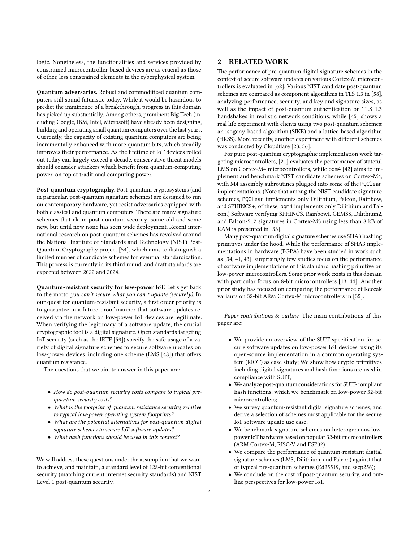logic. Nonetheless, the functionalities and services provided by constrained microcontroller-based devices are as crucial as those of other, less constrained elements in the cyberphysical system.

Quantum adversaries. Robust and commoditized quantum computers still sound futuristic today. While it would be hazardous to predict the imminence of a breakthrough, progress in this domain has picked up substantially. Among others, prominent Big Tech (including Google, IBM, Intel, Microsoft) have already been designing, building and operating small quantum computers over the last years. Currently, the capacity of existing quantum computers are being incrementally enhanced with more quantum bits, which steadily improves their performance. As the lifetime of IoT devices rolled out today can largely exceed a decade, conservative threat models should consider attackers which benefit from quantum-computing power, on top of traditional computing power.

Post-quantum cryptography. Post-quantum cryptosystems (and in particular, post-quantum signature schemes) are designed to run on contemporary hardware, yet resist adversaries equipped with both classical and quantum computers. There are many signature schemes that claim post-quantum security, some old and some new, but until now none has seen wide deployment. Recent international research on post-quantum schemes has revolved around the National Institute of Standards and Technology (NIST) Post-Quantum Cryptography project [54], which aims to distinguish a limited number of candidate schemes for eventual standardization. This process is currently in its third round, and draft standards are expected between 2022 and 2024.

Quantum-resistant security for low-power IoT. Let's get back to the motto you can't secure what you can't update (securely). In our quest for quantum-resistant security, a first order priority is to guarantee in a future-proof manner that software updates received via the network on low-power IoT devices are legitimate. When verifying the legitimacy of a software update, the crucial cryptographic tool is a digital signature. Open standards targeting IoT security (such as the IETF [59]) specify the safe usage of a variety of digital signature schemes to secure software updates on low-power devices, including one scheme (LMS [48]) that offers quantum resistance.

The questions that we aim to answer in this paper are:

- How do post-quantum security costs compare to typical prequantum security costs?
- What is the footprint of quantum resistance security, relative to typical low-power operating system footprints?
- What are the potential alternatives for post-quantum digital signature schemes to secure IoT software updates?
- What hash functions should be used in this context?

We will address these questions under the assumption that we want to achieve, and maintain, a standard level of 128-bit conventional security (matching current internet security standards) and NIST Level 1 post-quantum security.

# 2 RELATED WORK

The performance of pre-quantum digital signature schemes in the context of secure software updates on various Cortex-M microcontrollers is evaluated in [62]. Various NIST candidate post-quantum schemes are compared as component algorithms in TLS 1.3 in [58], analyzing performance, security, and key and signature sizes, as well as the impact of post-quantum authentication on TLS 1.3 handshakes in realistic network conditions, while [45] shows a real life experiment with clients using two post-quantum schemes: an isogeny-based algorithm (SIKE) and a lattice-based algorithm (HRSS). More recently, another experiment with different schemes was conducted by Cloudflare [23, 56].

For pure post-quantum cryptographic implementation work targeting microcontrollers, [21] evaluates the performance of stateful LMS on Cortex-M4 microcontrollers, while pqm4 [42] aims to implement and benchmark NIST candidate schemes on Cortex-M4, with M4 assembly subroutines plugged into some of the PQClean implementations. (Note that among the NIST candidate signature schemes, PQClean implements only Dilithium, Falcon, Rainbow, and SPHINCS+; of these, pqm4 implements only Dilithium and Falcon.) Software verifying SPHINCS, RainbowI, GEMSS, Dilithium2, and Falcon-512 signatures in Cortex-M3 using less than 8 kB of RAM is presented in [33].

Many post-quantum digital signature schemes use SHA3 hashing primitives under the hood. While the performance of SHA3 implementations in hardware (FGPA) have been studied in work such as [34, 41, 43], surprisingly few studies focus on the performance of software implementations of this standard hashing primitive on low-power microcontrollers. Some prior work exists in this domain with particular focus on 8-bit microcontrollers [13, 44]. Another prior study has focused on comparing the performance of Keccak variants on 32-bit ARM Cortex-M microcontrollers in [35].

Paper contributions & outline. The main contributions of this paper are:

- We provide an overview of the SUIT specification for secure software updates on low-power IoT devices, using its open-source implementation in a common operating system (RIOT) as case study; We show how crypto primitives including digital signatures and hash functions are used in compliance with SUIT;
- We analyze post-quantum considerations for SUIT-compliant hash functions, which we benchmark on low-power 32-bit microcontrollers;
- We survey quantum-resistant digital signature schemes, and derive a selection of schemes most applicable for the secure IoT software update use case;
- We benchmark signature schemes on heterogeneous lowpower IoT hardware based on popular 32-bit microcontrollers (ARM Cortex-M, RISC-V and ESP32);
- We compare the performance of quantum-resistant digital signature schemes (LMS, Dilithium, and Falcon) against that of typical pre-quantum schemes (Ed25519, and secp256);
- We conclude on the cost of post-quantum security, and outline perspectives for low-power IoT.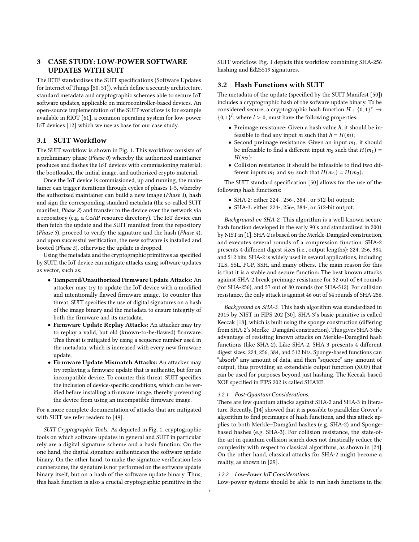# 3 CASE STUDY: LOW-POWER SOFTWARE UPDATES WITH SUIT

The IETF standardizes the SUIT specifications (Software Updates for Internet of Things [50, 51]), which define a security architecture, standard metadata and cryptographic schemes able to secure IoT software updates, applicable on microcontroller-based devices. An open-source implementation of the SUIT workflow is for example available in RIOT [61], a common operating system for low-power IoT devices [12] which we use as base for our case study.

# 3.1 SUIT Workflow

The SUIT workflow is shown in Fig. 1. This workflow consists of a preliminary phase (Phase 0) whereby the authorized maintainer produces and flashes the IoT devices with commissioning material: the bootloader, the initial image, and authorized crypto material.

Once the IoT device is commissioned, up and running, the maintainer can trigger iterations through cycles of phases 1-5, whereby the authorized maintainer can build a new image (Phase 1), hash and sign the corresponding standard metadata (the so-called SUIT manifest, Phase 2) and transfer to the device over the network via a repository (e.g. a CoAP resource directory). The IoT device can then fetch the update and the SUIT manifest from the repository (Phase 3), proceed to verify the signature and the hash (Phase 4), and upon successful verification, the new software is installed and booted (Phase 5), otherwise the update is dropped.

Using the metadata and the cryptographic primitives as specified by SUIT, the IoT device can mitigate attacks using software updates as vector, such as:

- Tampered/Unauthorized Firmware Update Attacks: An attacker may try to update the IoT device with a modified and intentionally flawed firmware image. To counter this threat, SUIT specifies the use of digital signatures on a hash of the image binary and the metadata to ensure integrity of both the firmware and its metadata.
- Firmware Update Replay Attacks: An attacker may try to replay a valid, but old (known-to-be-flawed) firmware. This threat is mitigated by using a sequence number used in the metadata, which is increased with every new firmware update.
- Firmware Update Mismatch Attacks: An attacker may try replaying a firmware update that is authentic, but for an incompatible device. To counter this threat, SUIT specifies the inclusion of device-specific conditions, which can be verified before installing a firmware image, thereby preventing the device from using an incompatible firmware image.

For a more complete documentation of attacks that are mitigated with SUIT we refer readers to [49].

SUIT Cryptographic Tools. As depicted in Fig. 1, cryptographic tools on which software updates in general and SUIT in particular rely are a digital signature scheme and a hash function. On the one hand, the digital signature authenticates the software update binary. On the other hand, to make the signature verification less cumbersome, the signature is not performed on the software update binary itself, but on a hash of the software update binary. Thus, this hash function is also a crucial cryptographic primitive in the

SUIT workflow. Fig. 1 depicts this workflow combining SHA-256 hashing and Ed25519 signatures.

#### 3.2 Hash Functions with SUIT

The metadata of the update (specified by the SUIT Manifest [50]) includes a cryptographic hash of the sofware update binary. To be considered secure, a cryptographic hash function  $H : \{0,1\}^* \rightarrow$  ${0, 1}^l$ , where  $l > 0$ , must have the following properties:

- Preimage resistance: Given a hash value  $h$ , it should be infeasible to find any input *m* such that  $h = H(m)$ ;
- Second preimage resistance: Given an input  $m_1$ , it should be infeasible to find a different input  $m_2$  such that  $H(m_1) =$  $H(m<sub>2</sub>)$ :
- Collision resistance: It should be infeasible to find two different inputs  $m_1$  and  $m_2$  such that  $H(m_1) = H(m_2)$ .

The SUIT standard specification [50] allows for the use of the following hash functions:

- SHA-2: either 224-, 256-, 384-, or 512-bit output;
- SHA-3: either 224-, 256-, 384-, or 512-bit output.

Background on SHA-2. This algorithm is a well-known secure hash function developed in the early 90's and standardized in 2001 by NIST in [1]. SHA-2 is based on the Merkle-Damgård construction, and executes several rounds of a compression function. SHA-2 presents 4 different digest sizes (i.e., output lengths): 224, 256, 384, and 512 bits. SHA-2 is widely used in several applications, including TLS, SSL, PGP, SSH, and many others. The main reason for this is that it is a stable and secure function: The best known attacks against SHA-2 break preimage resistance for 52 out of 64 rounds (for SHA-256), and 57 out of 80 rounds (for SHA-512). For collision resistance, the only attack is against 46 out of 64 rounds of SHA-256.

Background on SHA-3. This hash algorithm was standardized in 2015 by NIST in FIPS 202 [30]. SHA-3's basic primitive is called Keccak [18], which is built using the sponge construction (differing from SHA-2's Merlke–Damgård construction). This gives SHA-3 the advantage of resisting known attacks on Merkle–Damgård hash functions (like SHA-2). Like SHA-2, SHA-3 presents 4 different digest sizes: 224, 256, 384, and 512 bits. Sponge-based functions can "absorb" any amount of data, and then "squeeze" any amount of output, thus providing an extendable output function (XOF) that can be used for purposes beyond just hashing. The Keccak-based XOF specified in FIPS 202 is called SHAKE.

#### 3.2.1 Post-Quantum Considerations.

There are few quantum attacks against SHA-2 and SHA-3 in literature. Recently, [14] showed that it is possible to parallelize Grover's algorithm to find preimages of hash functions, and this attack applies to both Merkle–Damgård hashes (e.g. SHA-2) and Spongebased hashes (e.g. SHA-3). For collision resistance, the state-ofthe-art in quantum collision search does not drastically reduce the complexity with respect to classical algorithms, as shown in [24]. On the other hand, classical attacks for SHA-2 might become a reality, as shown in [29].

#### 3.2.2 Low-Power IoT Considerations.

Low-power systems should be able to run hash functions in the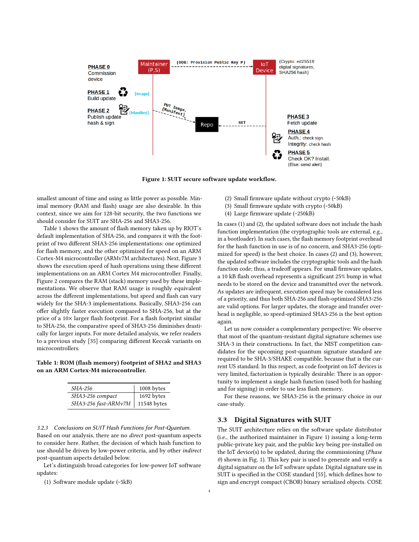

Figure 1: SUIT secure software update workflow.

smallest amount of time and using as little power as possible. Minimal memory (RAM and flash) usage are also desirable. In this context, since we aim for 128-bit security, the two functions we should consider for SUIT are SHA-256 and SHA3-256.

Table 1 shows the amount of flash memory taken up by RIOT's default implementation of SHA-256, and compares it with the footprint of two different SHA3-256 implementations: one optimized for flash memory, and the other optimized for speed on an ARM Cortex-M4 microcontroller (ARMv7M architectures). Next, Figure 3 shows the execution speed of hash operations using these different implementations on an ARM Cortex M4 microcontroller. Finally, Figure 2 compares the RAM (stack) memory used by these implementations. We observe that RAM usage is roughly equivalent across the different implementations, but speed and flash can vary widely for the SHA-3 implementations. Basically, SHA3-256 can offer slightly faster execution compared to SHA-256, but at the price of a 10× larger flash footprint. For a flash footprint similar to SHA-256, the comparative speed of SHA3-256 diminishes drastically for larger inputs. For more detailed analysis, we refer readers to a previous study [35] comparing different Keccak variants on microcontrollers.

Table 1: ROM (flash memory) footprint of SHA2 and SHA3 on an ARM Cortex-M4 microcontroller.

| <i>SHA-256</i>       | 1008 bytes  |
|----------------------|-------------|
| SHA3-256 compact     | 1692 bytes  |
| SHA3-256 fast-ARMv7M | 11548 bytes |

3.2.3 Conclusions on SUIT Hash Functions for Post-Quantum. Based on our analysis, there are no direct post-quantum aspects to consider here. Rather, the decision of which hash function to use should be driven by low-power criteria, and by other indirect post-quantum aspects detailed below.

Let's distinguish broad categories for low-power IoT software updates:

(1) Software module update (~5kB)

In cases (1) and (2), the updated software does not include the hash

(4) Large firmware update (~250kB)

(2) Small firmware update without crypto (~50kB) (3) Small firmware update with crypto (~50kB)

function implementation (the cryptographic tools are external, e.g., in a bootloader). In such cases, the flash memory footprint overhead for the hash function in use is of no concern, and SHA3-256 (optimized for speed) is the best choice. In cases (2) and (3), however, the updated software includes the cryptographic tools and the hash function code; thus, a tradeoff appears. For small firmware updates, a 10 kB flash overhead represents a significant 25% bump in what needs to be stored on the device and transmitted over the network. As updates are infrequent, execution speed may be considered less of a priority, and thus both SHA-256 and flash-optimized SHA3-256 are valid options. For larger updates, the storage and transfer overhead is negligible, so speed-optimized SHA3-256 is the best option again.

Let us now consider a complementary perspective: We observe that most of the quantum-resistant digital signature schemes use SHA-3 in their constructions. In fact, the NIST competition candidates for the upcoming post-quantum signature standard are required to be SHA-3/SHAKE compatible, because that is the current US standard. In this respect, as code footprint on IoT devices is very limited, factorization is typically desirable: There is an opportunity to implement a single hash function (used both for hashing and for signing) in order to use less flash memory.

For these reasons, we SHA3-256 is the primary choice in our case-study.

#### 3.3 Digital Signatures with SUIT

The SUIT architecture relies on the software update distributor (i.e., the authorized maintainer in Figure 1) issuing a long-term public-private key pair, and the public key being pre-installed on the IoT device(s) to be updated, during the commissioning (Phase 0) shown in Fig. 1). This key pair is used to generate and verify a digital signature on the IoT software update. Digital signature use in SUIT is specified in the COSE standard [55], which defines how to sign and encrypt compact (CBOR) binary serialized objects. COSE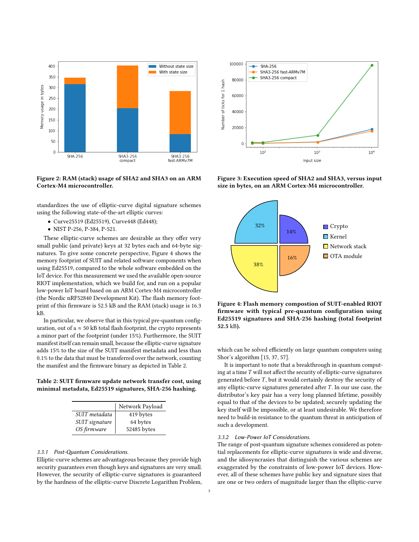

Figure 2: RAM (stack) usage of SHA2 and SHA3 on an ARM Cortex-M4 microcontroller.

standardizes the use of elliptic-curve digital signature schemes using the following state-of-the-art elliptic curves:

- Curve25519 (Ed25519), Curve448 (Ed448);
- NIST P-256, P-384, P-521.

These elliptic-curve schemes are desirable as they offer very small public (and private) keys at 32 bytes each and 64-byte signatures. To give some concrete perspective, Figure 4 shows the memory footprint of SUIT and related software components when using Ed25519, compared to the whole software embedded on the IoT device. For this measurement we used the available open-source RIOT implementation, which we build for, and run on a popular low-power IoT board based on an ARM Cortex-M4 microcontroller (the Nordic nRF52840 Development Kit). The flash memory footprint of this firmware is 52.5 kB and the RAM (stack) usage is 16.3 kB.

In particular, we observe that in this typical pre-quantum configuration, out of a  $\approx$  50 kB total flash footprint, the crypto represents a minor part of the footprint (under 15%). Furthermore, the SUIT manifest itself can remain small, because the elliptic-curve signature adds 15% to the size of the SUIT manifest metadata and less than 0.1% to the data that must be transferred over the network, counting the manifest and the firmware binary as depicted in Table 2.

Table 2: SUIT firmware update network transfer cost, using minimal metadata, Ed25519 signatures, SHA-256 hashing.

|                | Network Payload |
|----------------|-----------------|
| SUIT metadata  | 419 bytes       |
| SUIT signature | 64 bytes        |
| OS firmware    | 52485 bytes     |

#### 3.3.1 Post-Quantum Considerations.

Elliptic-curve schemes are advantageous because they provide high security guarantees even though keys and signatures are very small. However, the security of elliptic-curve signatures is guaranteed by the hardness of the elliptic-curve Discrete Logarithm Problem,



Figure 3: Execution speed of SHA2 and SHA3, versus input size in bytes, on an ARM Cortex-M4 microcontroller.



Figure 4: Flash memory compostion of SUIT-enabled RIOT firmware with typical pre-quantum configuration using Ed25519 signatures and SHA-256 hashing (total footprint 52.5 kB).

which can be solved efficiently on large quantum computers using Shor's algorithm [15, 37, 57].

It is important to note that a breakthrough in quantum computing at a time  $T$  will not affect the security of elliptic-curve signatures generated before  $T$ , but it would certainly destroy the security of any elliptic-curve signatures generated after  $T$ . In our use case, the distributor's key pair has a very long planned lifetime, possibly equal to that of the devices to be updated; securely updating the key itself will be impossible, or at least undesirable. We therefore need to build-in resistance to the quantum threat in anticipation of such a development.

#### 3.3.2 Low-Power IoT Considerations.

The range of post-quantum signature schemes considered as potential replacements for elliptic-curve signatures is wide and diverse, and the idiosyncrasies that distinguish the various schemes are exaggerated by the constraints of low-power IoT devices. However, all of these schemes have public key and signature sizes that are one or two orders of magnitude larger than the elliptic-curve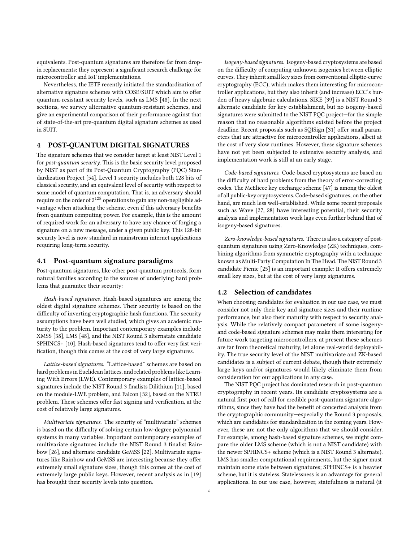equivalents. Post-quantum signatures are therefore far from dropin replacements; they represent a significant research challenge for microcontroller and IoT implementations.

Nevertheless, the IETF recently initiated the standardization of alternative signature schemes with COSE/SUIT which aim to offer quantum-resistant security levels, such as LMS [48]. In the next sections, we survey alternative quantum-resistant schemes, and give an experimental comparison of their performance against that of state-of-the-art pre-quantum digital signature schemes as used in SUIT.

### 4 POST-QUANTUM DIGITAL SIGNATURES

The signature schemes that we consider target at least NIST Level 1 for post-quantum security. This is the basic security level proposed by NIST as part of its Post-Quantum Cryptography (PQC) Standardization Project [54]. Level 1 security includes both 128 bits of classical security, and an equivalent level of security with respect to some model of quantum computation. That is, an adversary should require on the order of  $2^{128}$  operations to gain any non-negligible advantage when attacking the scheme, even if this adversary benefits from quantum computing power. For example, this is the amount of required work for an adversary to have any chance of forging a signature on a new message, under a given public key. This 128-bit security level is now standard in mainstream internet applications requiring long-term security.

#### 4.1 Post-quantum signature paradigms

Post-quantum signatures, like other post-quantum protocols, form natural families according to the sources of underlying hard problems that guarantee their security:

Hash-based signatures. Hash-based signatures are among the oldest digital signature schemes. Their security is based on the difficulty of inverting cryptographic hash functions. The security assumptions have been well studied, which gives an academic maturity to the problem. Important contemporary examples include XMSS [38], LMS [48], and the NIST Round 3 alternatate candidate SPHINCS+ [10]. Hash-based signatures tend to offer very fast verification, though this comes at the cost of very large signatures.

Lattice-based signatures. "Lattice-based" schemes are based on hard problems in Euclidean lattices, and related problems like Learning With Errors (LWE). Contemporary examples of lattice-based signatures include the NIST Round 3 finalists Dilithium [11], based on the module-LWE problem, and Falcon [32], based on the NTRU problem. These schemes offer fast signing and verification, at the cost of relatively large signatures.

Multivariate signatures. The security of "multivariate" schemes is based on the difficulty of solving certain low-degree polynomial systems in many variables. Important contemporary examples of multivariate signatures include the NIST Round 3 finalist Rainbow [26], and alternate candidate GeMSS [22]. Multivariate signatures like Rainbow and GeMSS are interesting because they offer extremely small signature sizes, though this comes at the cost of extremely large public keys. However, recent analysis as in [19] has brought their security levels into question.

Isogeny-based signatures. Isogeny-based cryptosystems are based on the difficulty of computing unknown isogenies between elliptic curves. They inherit small key sizes from conventional elliptic-curve cryptography (ECC), which makes them interesting for microcontroller applications, but they also inherit (and increase) ECC's burden of heavy algebraic calculations. SIKE [39] is a NIST Round 3 alternate candidate for key establishment, but no isogeny-based signatures were submitted to the NIST PQC project—for the simple reason that no reasonable algorithms existed before the project deadline. Recent proposals such as SQISign [31] offer small parameters that are attractive for microcontroller applications, albeit at the cost of very slow runtimes. However, these signature schemes have not yet been subjected to extensive security analysis, and implementation work is still at an early stage.

Code-based signatures. Code-based cryptosystems are based on the difficulty of hard problems from the theory of error-correcting codes. The McEliece key exchange scheme [47] is among the oldest of all public-key cryptosystems. Code-based signatures, on the other hand, are much less well-established. While some recent proposals such as Wave [27, 28] have interesting potential, their security analysis and implementation work lags even further behind that of isogeny-based signatures.

Zero-knowledge-based signatures. There is also a category of postquantum signatures using Zero-Knowledge (ZK) techniques, combining algorithms from symmetric cryptography with a technique known as Multi-Party Computation In The Head. The NIST Round 3 candidate Picnic [25] is an important example: It offers extremely small key sizes, but at the cost of very large signatures.

#### 4.2 Selection of candidates

When choosing candidates for evaluation in our use case, we must consider not only their key and signature sizes and their runtime performance, but also their maturity with respect to security analysis. While the relatively compact parameters of some isogenyand code-based signature schemes may make them interesting for future work targeting microcontrollers, at present these schemes are far from theoretical maturity, let alone real-world deployability. The true security level of the NIST multivariate and ZK-based candidates is a subject of current debate, though their extremely large keys and/or signatures would likely eliminate them from consideration for our applications in any case.

The NIST PQC project has dominated research in post-quantum cryptography in recent years. Its candidate cryptosystems are a natural first port of call for credible post-quantum signature algorithms, since they have had the benefit of concerted analysis from the cryptographic community—especially the Round 3 proposals, which are candidates for standardization in the coming years. However, these are not the only algorithms that we should consider. For example, among hash-based signature schemes, we might compare the older LMS scheme (which is not a NIST candidate) with the newer SPHINCS+ scheme (which is a NIST Round 3 alternate). LMS has smaller computational requirements, but the signer must maintain some state between signatures; SPHINCS+ is a heavier scheme, but it is stateless. Statelessness is an advantage for general applications. In our use case, however, statefulness is natural (it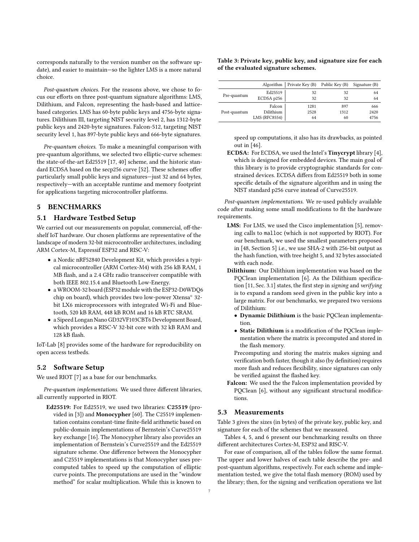corresponds naturally to the version number on the software update), and easier to maintain—so the lighter LMS is a more natural choice.

Post-quantum choices. For the reasons above, we chose to focus our efforts on three post-quantum signature algorithms: LMS, Dilithium, and Falcon, representing the hash-based and latticebased categories. LMS has 60-byte public keys and 4756-byte signatures. Dilithium III, targeting NIST security level 2, has 1312-byte public keys and 2420-byte signatures. Falcon-512, targeting NIST security level 1, has 897-byte public keys and 666-byte signatures.

Pre-quantum choices. To make a meaningful comparison with pre-quantum algorithms, we selected two elliptic-curve schemes: the state-of-the-art Ed25519 [17, 40] scheme, and the historic standard ECDSA based on the secp256 curve [52]. These schemes offer particularly small public keys and signatures—just 32 and 64 bytes, respectively—with an acceptable runtime and memory footprint for applications targeting microcontroller platforms.

# 5 BENCHMARKS

#### 5.1 Hardware Testbed Setup

We carried out our measurements on popular, commercial, off-theshelf IoT hardware. Our chosen platforms are representative of the landscape of modern 32-bit microcontroller architectures, including ARM Cortex-M, Espressif ESP32 and RISC-V:

- a Nordic nRF52840 Development Kit, which provides a typical microcontroller (ARM Cortex-M4) with 256 kB RAM, 1 MB flash, and a 2.4 GHz radio transceiver compatible with both IEEE 802.15.4 and Bluetooth Low-Energy.
- a WROOM-32 board (ESP32 module with the ESP32-D0WDQ6 chip on board), which provides two low-power Xtensa® 32 bit LX6 microprocessors with integrated Wi-Fi and Bluetooth, 520 kB RAM, 448 kB ROM and 16 kB RTC SRAM.
- a Sipeed Longan Nano GD32VF103CBT6 Development Board, which provides a RISC-V 32-bit core with 32 kB RAM and 128 kB flash.

IoT-Lab [8] provides some of the hardware for reproducibility on open access testbeds.

# 5.2 Software Setup

We used RIOT [7] as a base for our benchmarks.

Pre-quantum implementations. We used three different libraries, all currently supported in RIOT.

Ed25519: For Ed25519, we used two libraries: C25519 (provided in [3]) and Monocypher [60]. The C25519 implementation contains constant-time finite-field arithmetic based on public-domain implementations of Bernstein's Curve25519 key exchange [16]. The Monocypher library also provides an implementation of Bernstein's Curve25519 and the Ed25519 signature scheme. One difference between the Monocypher and C25519 implementations is that Monocypher uses precomputed tables to speed up the computation of elliptic curve points. The precomputations are used in the "window method" for scalar multiplication. While this is known to

#### Table 3: Private key, public key, and signature size for each of the evaluated signature schemes.

|              | Algorithm            | Private Key (B) Public Key (B) |      | Signature (B) |
|--------------|----------------------|--------------------------------|------|---------------|
| Pre-quantum  | Ed25519              | 32                             | 32   | 64            |
|              | ECDSA p256           | 32                             | 32   | 64            |
|              | Falcon               | 1281                           | 897  | 666           |
| Post-quantum | Dilithium            | 2528                           | 1312 | 2420          |
|              | <b>LMS (RFC8554)</b> | 64                             | 60   | 4756          |

speed up computations, it also has its drawbacks, as pointed out in [46].

ECDSA: For ECDSA, we used the Intel's Tinycrypt library [4], which is designed for embedded devices. The main goal of this library is to provide cryptographic standards for constrained devices. ECDSA differs from Ed25519 both in some specific details of the signature algorithm and in using the NIST standard p256 curve instead of Curve25519.

Post-quantum implementations. We re-used publicly available code after making some small modifications to fit the hardware requirements.

- LMS: For LMS, we used the Cisco implementation [5], removing calls to malloc (which is not supported by RIOT). For our benchmark, we used the smallest parameters proposed in [48, Section 5] i.e., we use SHA-2 with 256-bit output as the hash function, with tree height 5, and 32 bytes associated with each node.
- Dilithium: Our Dilithium implementation was based on the PQClean implementation [6]. As the Dilithium specification [11, Sec. 3.1] states, the first step in signing and verifying is to expand a random seed given in the public key into a large matrix. For our benchmarks, we prepared two versions of Dilithium:
	- Dynamic Dilithium is the basic PQClean implementation.
	- Static Dilithium is a modification of the PQClean implementation where the matrix is precomputed and stored in the flash memory.

Precomputing and storing the matrix makes signing and verification both faster, though it also (by definition) requires more flash and reduces flexibility, since signatures can only be verified against the flashed key.

Falcon: We used the the Falcon implementation provided by PQClean [6], without any significant structural modifications.

# 5.3 Measurements

Table 3 gives the sizes (in bytes) of the private key, public key, and signature for each of the schemes that we measured.

Tables 4, 5, and 6 present our benchmarking results on three different architectures Cortex-M, ESP32 and RISC-V.

For ease of comparison, all of the tables follow the same format. The upper and lower halves of each table describe the pre- and post-quantum algorithms, respectively. For each scheme and implementation tested, we give the total flash memory (ROM) used by the library; then, for the signing and verification operations we list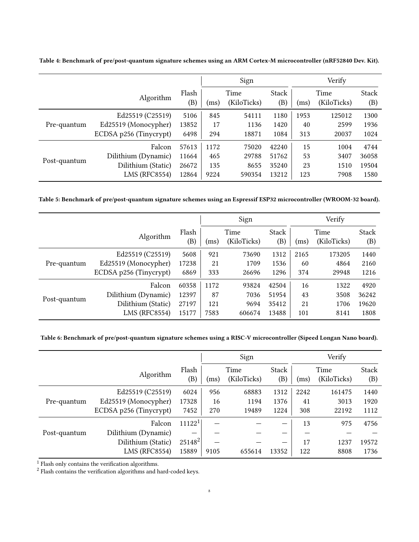|              |                        |              | Sign                        |        |              | Verify |                     |              |
|--------------|------------------------|--------------|-----------------------------|--------|--------------|--------|---------------------|--------------|
|              | Algorithm              | Flash<br>(B) | Time<br>(KiloTicks)<br>(ms) |        | Stack<br>(B) | (ms)   | Time<br>(KiloTicks) | Stack<br>(B) |
| Pre-quantum  | Ed25519 (C25519)       | 5106         | 845                         | 54111  | 1180         | 1953   | 125012              | 1300         |
|              | Ed25519 (Monocypher)   | 13852        | 17                          | 1136   | 1420         | 40     | 2599                | 1936         |
|              | ECDSA p256 (Tinycrypt) | 6498         | 294                         | 18871  | 1084         | 313    | 20037               | 1024         |
| Post-quantum | Falcon                 | 57613        | 1172                        | 75020  | 42240        | 15     | 1004                | 4744         |
|              | Dilithium (Dynamic)    | 11664        | 465                         | 29788  | 51762        | 53     | 3407                | 36058        |
|              | Dilithium (Static)     | 26672        | 135                         | 8655   | 35240        | 23     | 1510                | 19504        |
|              | <b>LMS (RFC8554)</b>   | 12864        | 9224                        | 590354 | 13212        | 123    | 7908                | 1580         |

Table 4: Benchmark of pre/post-quantum signature schemes using an ARM Cortex-M microcontroller (nRF52840 Dev. Kit).

Table 5: Benchmark of pre/post-quantum signature schemes using an Espressif ESP32 microcontroller (WROOM-32 board).

|              |                        |              | Sign                        |        |              | Verify |                     |                     |  |
|--------------|------------------------|--------------|-----------------------------|--------|--------------|--------|---------------------|---------------------|--|
|              | Algorithm              | Flash<br>(B) | Time<br>(KiloTicks)<br>(ms) |        | Stack<br>(B) | (ms)   | Time<br>(KiloTicks) | <b>Stack</b><br>(B) |  |
|              | Ed25519 (C25519)       | 5608         | 921                         | 73690  | 1312         | 2165   | 173205              | 1440                |  |
| Pre-quantum  | Ed25519 (Monocypher)   | 17238        | 21                          | 1709   | 1536         | 60     | 4864                | 2160                |  |
|              | ECDSA p256 (Tinycrypt) | 6869         | 333                         | 26696  | 1296         | 374    | 29948               | 1216                |  |
|              | Falcon                 | 60358        | 1172                        | 93824  | 42504        | 16     | 1322                | 4920                |  |
| Post-quantum | Dilithium (Dynamic)    | 12397        | 87                          | 7036   | 51954        | 43     | 3508                | 36242               |  |
|              | Dilithium (Static)     | 27197        | 121                         | 9694   | 35412        | 21     | 1706                | 19620               |  |
|              | <b>LMS (RFC8554)</b>   | 15177        | 7583                        | 606674 | 13488        | 101    | 8141                | 1808                |  |

Table 6: Benchmark of pre/post-quantum signature schemes using a RISC-V microcontroller (Sipeed Longan Nano board).

|              |                        |                                     | Sign                        |        |              | Verify |                     |                     |
|--------------|------------------------|-------------------------------------|-----------------------------|--------|--------------|--------|---------------------|---------------------|
|              | Algorithm              | Flash<br>$\left( \mathrm{B}\right)$ | Time<br>(KiloTicks)<br>(ms) |        | Stack<br>(B) | (ms)   | Time<br>(KiloTicks) | <b>Stack</b><br>(B) |
|              | Ed25519 (C25519)       | 6024                                | 956                         | 68883  | 1312         | 2242   | 161475              | 1440                |
| Pre-quantum  | Ed25519 (Monocypher)   | 17328                               | 16                          | 1194   | 1376         | 41     | 3013                | 1920                |
|              | ECDSA p256 (Tinycrypt) | 7452                                | 270                         | 19489  | 1224         | 308    | 22192               | 1112                |
|              | Falcon                 | 11122 <sup>1</sup>                  |                             |        |              | 13     | 975                 | 4756                |
| Post-quantum | Dilithium (Dynamic)    |                                     |                             |        |              | –      |                     |                     |
|              | Dilithium (Static)     | 25148 <sup>2</sup>                  |                             |        |              | 17     | 1237                | 19572               |
|              | <b>LMS (RFC8554)</b>   | 15889                               | 9105                        | 655614 | 13352        | 122    | 8808                | 1736                |

<sup>1</sup> Flash only contains the verification algorithms.

<sup>2</sup> Flash contains the verification algorithms and hard-coded keys.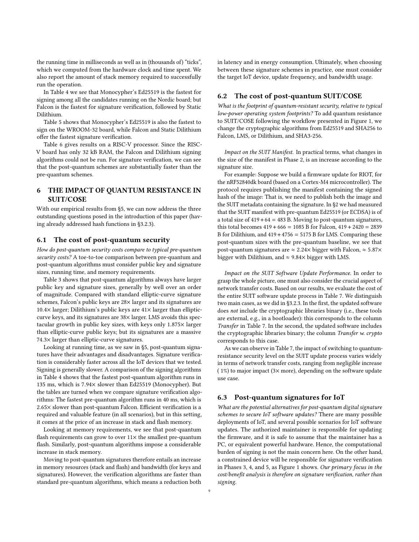the running time in milliseconds as well as in (thousands of) "ticks", which we computed from the hardware clock and time spent. We also report the amount of stack memory required to successfully run the operation.

In Table 4 we see that Monocypher's Ed25519 is the fastest for signing among all the candidates running on the Nordic board; but Falcon is the fastest for signature verification, followed by Static Dilithium.

Table 5 shows that Monocypher's Ed25519 is also the fastest to sign on the WROOM-32 board, while Falcon and Static Dilithium offer the fastest signature verification.

Table 6 gives results on a RISC-V processor. Since the RISC-V board has only 32 kB RAM, the Falcon and Dilithium signing algorithms could not be run. For signature verification, we can see that the post-quantum schemes are substantially faster than the pre-quantum schemes.

# 6 THE IMPACT OF QUANTUM RESISTANCE IN SUIT/COSE

With our empirical results from §5, we can now address the three outstanding questions posed in the introduction of this paper (having already addressed hash functions in §3.2.3).

## 6.1 The cost of post-quantum security

How do post-quantum security costs compare to typical pre-quantum security costs? A toe-to-toe comparison between pre-quantum and post-quantum algorithms must consider public key and signature sizes, running time, and memory requirements.

Table 3 shows that post-quantum algorithms always have larger public key and signature sizes, generally by well over an order of magnitude. Compared with standard elliptic-curve signature schemes, Falcon's public keys are 28× larger and its signatures are 10.4 $\times$  larger; Dilithium's public keys are 41 $\times$  larger than ellipticcurve keys, and its signatures are 38× larger. LMS avoids this spectacular growth in public key sizes, with keys only 1.875× larger than elliptic-curve public keys; but its signatures are a massive 74.3× larger than elliptic-curve signatures.

Looking at running time, as we saw in §5, post-quantum signatures have their advantages and disadvantages. Signature verification is considerably faster across all the IoT devices that we tested. Signing is generally slower. A comparison of the signing algorithms in Table 4 shows that the fastest post-quantum algorithm runs in 135 ms, which is 7.94× slower than Ed25519 (Monocypher). But the tables are turned when we compare signature verification algorithms: The fastest pre-quantum algorithm runs in 40 ms, which is 2.65× slower than post-quantum Falcon. Efficient verification is a required and valuable feature (in all scenarios), but in this setting, it comes at the price of an increase in stack and flash memory.

Looking at memory requirements, we see that post-quantum flash requirements can grow to over  $11\times$  the smallest pre-quantum flash. Similarly, post-quantum algorithms impose a considerable increase in stack memory.

Moving to post-quantum signatures therefore entails an increase in memory resources (stack and flash) and bandwidth (for keys and signatures). However, the verification algorithms are faster than standard pre-quantum algorithms, which means a reduction both in latency and in energy consumption. Ultimately, when choosing between these signature schemes in practice, one must consider the target IoT device, update frequency, and bandwidth usage.

#### 6.2 The cost of post-quantum SUIT/COSE

What is the footprint of quantum-resistant security, relative to typical low-power operating system footprints? To add quantum resistance to SUIT/COSE following the workflow presented in Figure 1, we change the cryptographic algorithms from Ed25519 and SHA256 to Falcon, LMS, or Dilithium, and SHA3-256.

Impact on the SUIT Manifest. In practical terms, what changes in the size of the manifest in Phase 2, is an increase according to the signature size.

For example: Suppose we build a firmware update for RIOT, for the nRF52840dk board (based on a Cortex-M4 microcontroller). The protocol requires publishing the manifest containing the signed hash of the image: That is, we need to publish both the image and the SUIT metadata containing the signature. In §2 we had measured that the SUIT manifest with pre-quantum Ed25519 (or ECDSA) is of a total size of  $419 + 64 = 483$  B. Moving to post-quantum signatures, this total becomes  $419 + 666 = 1085$  B for Falcon,  $419 + 2420 = 2839$ B for Dilithium, and  $419 + 4756 = 5175 B$  for LMS. Comparing these post-quantum sizes with the pre-quantum baseline, we see that post-quantum signatures are  $\approx 2.24 \times$  bigger with Falcon,  $\approx 5.87 \times$ bigger with Dilithium, and  $\approx$  9.84 $\times$  bigger with LMS.

Impact on the SUIT Software Update Performance. In order to grasp the whole picture, one must also consider the crucial aspect of network transfer costs. Based on our results, we evaluate the cost of the entire SUIT software update process in Table 7. We distinguish two main cases, as we did in §3.2.3. In the first, the updated software does not include the cryptographic libraries binary (i.e., these tools are external, e.g., in a bootloader): this corresponds to the column Transfer in Table 7. In the second, the updated software includes the cryptographic libraries binary; the column Transfer w. crypto corresponds to this case.

As we can observe in Table 7, the impact of switching to quantumresistance security level on the SUIT update process varies widely in terms of network transfer costs, ranging from negligible increase ( $1\%$ ) to major impact ( $3\times$  more), depending on the software update use case.

#### 6.3 Post-quantum signatures for IoT

What are the potential alternatives for post-quantum digital signature schemes to secure IoT software updates? There are many possible deployments of IoT, and several possible scenarios for IoT software updates. The authorized maintainer is responsible for updating the firmware, and it is safe to assume that the maintainer has a PC, or equivalent powerful hardware. Hence, the computational burden of signing is not the main concern here. On the other hand, a constrained device will be responsible for signature verification in Phases 3, 4, and 5, as Figure 1 shows. Our primary focus in the cost/benefit analysis is therefore on signature verification, rather than signing.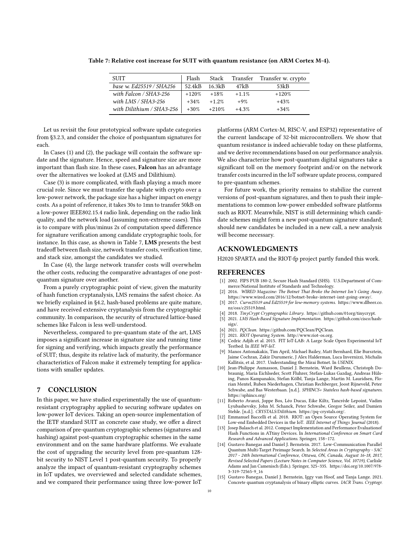| <b>SUIT</b>               | Flash   | Stack   |         | Transfer Transfer w. crypto |
|---------------------------|---------|---------|---------|-----------------------------|
| base w. Ed25519 / SHA256  | 52.4kB  | 16.3kB  | 47kB    | 53kB                        |
| with Falcon / $SHA3-256$  | $+120%$ | $+18%$  | $+1.1%$ | $+120%$                     |
| with LMS / SHA3-256       | $+34%$  | $+1.2%$ | $+9%$   | $+43%$                      |
| with Dilithium / SHA3-256 | $+30%$  | $+210%$ | $+4.3%$ | $+34%$                      |

Table 7: Relative cost increase for SUIT with quantum resistance (on ARM Cortex M-4).

Let us revisit the four prototypical software update categories from §3.2.3, and consider the choice of postquantum signatures for each.

In Cases (1) and (2), the package will contain the software update and the signature. Hence, speed and signature size are more important than flash size. In these cases, Falcon has an advantage over the alternatives we looked at (LMS and Dilithium).

Case (3) is more complicated, with flash playing a much more crucial role. Since we must transfer the update with crypto over a low-power network, the package size has a higher impact on energy costs. As a point of reference, it takes 30s to 1mn to transfer 50kB on a low-power IEEE802.15.4 radio link, depending on the radio link quality, and the network load (assuming non-extreme cases). This is to compare with plus/minus 2s of computation speed difference for signature verification among candidate cryptographic tools, for instance. In this case, as shown in Table 7, LMS presents the best tradeoff between flash size, network transfer costs, verification time, and stack size, amongst the candidates we studied.

In Case (4), the large network transfer costs will overwhelm the other costs, reducing the comparative advantages of one postquantum signature over another.

From a purely cryptographic point of view, given the maturity of hash function cryptanalysis, LMS remains the safest choice. As we briefly explained in §4.2, hash-based problems are quite mature, and have received extensive cryptanalysis from the cryptographic community. In comparison, the security of structured lattice-based schemes like Falcon is less well-understood.

Nevertheless, compared to pre-quantum state of the art, LMS imposes a significant increase in signature size and running time for signing and verifying, which impacts greatly the performance of SUIT; thus, despite its relative lack of maturity, the performance characteristics of Falcon make it extremely tempting for applications with smaller updates.

#### 7 CONCLUSION

In this paper, we have studied experimentally the use of quantumresistant cryptography applied to securing software updates on low-power IoT devices. Taking an open-source implementation of the IETF standard SUIT as concrete case study, we offer a direct comparison of pre-quantum cryptographic schemes (signatures and hashing) against post-quantum cryptographic schemes in the same environment and on the same hardware platforms. We evaluate the cost of upgrading the security level from pre-quantum 128 bit security to NIST Level 1 post-quantum security. To properly analyze the impact of quantum-resistant cryptography schemes in IoT updates, we overviewed and selected candidate schemes, and we compared their performance using three low-power IoT

platforms (ARM Cortex-M, RISC-V, and ESP32) representative of the current landscape of 32-bit microcontrollers. We show that quantum resistance is indeed achievable today on these platforms, and we derive recommendations based on our performance analysis. We also characterize how post-quantum digital signatures take a significant toll on the memory footprint and/or on the network transfer costs incurred in the IoT software update process, compared to pre-quantum schemes.

For future work, the priority remains to stabilize the current versions of post-quantum signatures, and then to push their implementations to common low-power embedded software platforms such as RIOT. Meanwhile, NIST is still determining which candidate schemes might form a new post-quantum signature standard; should new candidates be included in a new call, a new analysis will become necessary.

## ACKNOWLEDGMENTS

H2020 SPARTA and the RIOT-fp project partly funded this work.

#### REFERENCES

- [1] 2002. FIPS PUB 180-2, Secure Hash Standard (SHS). U.S.Department of Commerce/National Institute of Standards and Technology.
- [2] 2016. WIRED Magazine: The Botnet That Broke the Internet Isn't Going Away. [https://www.wired.com/2016/12/botnet-broke-internet-isnt-going-away/.](https://www.wired.com/2016/12/botnet-broke-internet-isnt-going-away/)
- [3] 2017. Curve25519 and Ed25519 for low-memory systems. [https://www.dlbeer.co.](https://www.dlbeer.co.nz/oss/c25519.html)  $nz/oss/c25519$  html.
- [4] 2018. TinyCrypt Cryptographic Library. [https://github.com/01org/tinycrypt.](https://github.com/01org/tinycrypt)
- 2021. LMS Hash-Based Signature Implementation. [https://github.com/cisco/hash](https://github.com/cisco/hash-sigs/)[sigs/.](https://github.com/cisco/hash-sigs/)
- 2021. PQClean. [https://github.com/PQClean/PQClean.](https://github.com/PQClean/PQClean)
- [7] 2021. RIOT Operating System. [http://www.riot-os.org.](http://www.riot-os.org)
- [8] Cedric Adjih et al. 2015. FIT IoT-LAB: A Large Scale Open Experimental IoT Testbed. In IEEE WF-IoT.
- [9] Manos Antonakakis, Tim April, Michael Bailey, Matt Bernhard, Elie Bursztein, Jaime Cochran, Zakir Durumeric, J Alex Halderman, Luca Invernizzi, Michalis Kallitsis, et al. 2017. Understanding the Mirai Botnet. In USENIX.
- [10] Jean-Philippe Aumasson, Daniel J. Bernstein, Ward Beullens, Christoph Dobraunig, Maria Eichlseder, Scott Fluhrer, Stefan-Lukas Gazdag, Andreas Hülsing, Panos Kampanakis, Stefan Kölbl, Tanja Lange, Martin M. Lauridsen, Florian Mentel, Ruben Niederhagen, Christian Rechberger, Joost Rijneveld, Peter Schwabe, and Bas Westerbaan. [n.d.]. SPHINCS+ Stateless hash-based signatures. <https://sphincs.org/>
- [11] Roberto Avanzi, Joppe Bos, Léo Ducas, Eike Kiltz, Tancrède Lepoint, Vadim Lyubashevsky, John M. Schanck, Peter Schwabe, Gregor Seiler, and Damien Stehle. [n.d.]. CRYSTALS/Dilithium. [https://pq-crystals.org/.](https://pq-crystals.org/)
- [12] Emmanuel Baccelli et al. 2018. RIOT: an Open Source Operating System for Low-end Embedded Devices in the IoT. IEEE Internet of Things Journal (2018).
- [13] Josep Balasch et al. 2012. Compact Implementation and Performance Evaluationof Hash Functions in ATtiny Devices. In International Conference on Smart Card Research and Advanced Applications. Springer, 158–172.
- [14] Gustavo Banegas and Daniel J. Bernstein. 2017. Low-Communication Parallel Quantum Multi-Target Preimage Search. In Selected Areas in Cryptography - SAC 2017 - 24th International Conference, Ottawa, ON, Canada, August 16-18, 2017, Revised Selected Papers (Lecture Notes in Computer Science, Vol. 10719), Carlisle Adams and Jan Camenisch (Eds.). Springer, 325–335. [https://doi.org/10.1007/978-](https://doi.org/10.1007/978-3-319-72565-9_16) [3-319-72565-9\\_16](https://doi.org/10.1007/978-3-319-72565-9_16)
- [15] Gustavo Banegas, Daniel J. Bernstein, Iggy van Hoof, and Tanja Lange. 2021. Concrete quantum cryptanalysis of binary elliptic curves. IACR Trans. Cryptogr.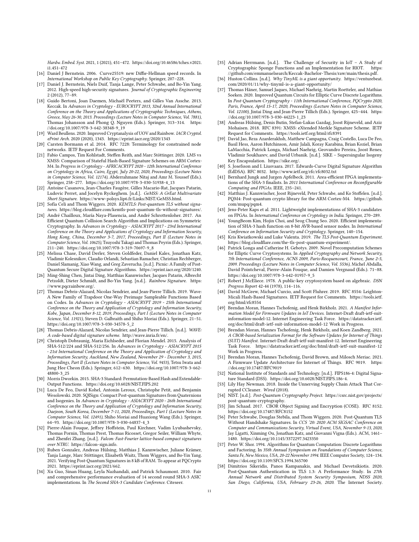Hardw. Embed. Syst. 2021, 1 (2021), 451–472. [https://doi.org/10.46586/tches.v2021.](https://doi.org/10.46586/tches.v2021.i1.451-472) [i1.451-472](https://doi.org/10.46586/tches.v2021.i1.451-472)

- [16] Daniel J Bernstein. 2006. Curve25519: new Diffie-Hellman speed records. In International Workshop on Public Key Cryptography. Springer, 207–228.
- [17] Daniel J. Bernstein, Niels Duif, Tanja Lange, Peter Schwabe, and Bo-Yin Yang. 2012. High-speed high-security signatures. Journal of Cryptographic Engineering 2 (2012), 77–89.
- [18] Guido Bertoni, Joan Daemen, Michaël Peeters, and Gilles Van Assche. 2013. Keccak. In Advances in Cryptology - EUROCRYPT 2013, 32nd Annual International Conference on the Theory and Applications of Cryptographic Techniques, Athens, Greece, May 26-30, 2013. Proceedings (Lecture Notes in Computer Science, Vol. 7881), Thomas Johansson and Phong Q. Nguyen (Eds.). Springer, 313–314. [https:](https://doi.org/10.1007/978-3-642-38348-9_19) [//doi.org/10.1007/978-3-642-38348-9\\_19](https://doi.org/10.1007/978-3-642-38348-9_19)
- [19] Ward Beullens. 2020. Improved Cryptanalysis of UOV and Rainbow. IACR Cryptol. ePrint Arch. 2020 (2020), 1343.<https://eprint.iacr.org/2020/1343>
- [20] Carsten Bormann et al. 2014. RFC 7228: Terminology for constrained node networks. IETF Request For Comments.
- [21] Fabio Campos, Tim Kohlstadt, Steffen Reith, and Marc Stöttinger. 2020. LMS vs XMSS: Comparison of Stateful Hash-Based Signature Schemes on ARM Cortex-M4. In Progress in Cryptology - AFRICACRYPT 2020 - 12th International Conference on Cryptology in Africa, Cairo, Egypt, July 20-22, 2020, Proceedings (Lecture Notes in Computer Science, Vol. 12174), Abderrahmane Nitaj and Amr M. Youssef (Eds.). Springer, 258–277. [https://doi.org/10.1007/978-3-030-51938-4\\_13](https://doi.org/10.1007/978-3-030-51938-4_13)
- [22] Antoine Casanova, Jean-Charles Faugère, Gilles Macario-Rat, Jacques Patarin, Ludovic Perret, and Jocelyn Ryckeghem. [n.d.]. GeMSS: A GrEat Multivariate Short Signature. [https://www-polsys.lip6.fr/Links/NIST/GeMSS.html.](https://www-polsys.lip6.fr/Links/NIST/GeMSS.html)
- [23] Sofía Celi and Thom Wiggers. 2020. KEMTLS: Post-quantum TLS without signatures. [https://blog.cloudflare.com/kemtls-post-quantum-tls-without-signatures/.](https://blog.cloudflare.com/kemtls-post-quantum-tls-without-signatures/)
- [24] André Chailloux, María Naya-Plasencia, and André Schrottenloher. 2017. An Efficient Quantum Collision Search Algorithm and Implications on Symmetric Cryptography. In Advances in Cryptology - ASIACRYPT 2017 - 23rd International Conference on the Theory and Applications of Cryptology and Information Security, Hong Kong, China, December 3-7, 2017, Proceedings, Part II (Lecture Notes in Computer Science, Vol. 10625), Tsuyoshi Takagi and Thomas Peyrin (Eds.). Springer, 211–240. [https://doi.org/10.1007/978-3-319-70697-9\\_8](https://doi.org/10.1007/978-3-319-70697-9_8)
- [25] Melissa Chase, David Derler, Steven Goldfeder, Daniel Kales, Jonathan Katz, Vladimir Kolesnikov, Claudio Orlandi, Sebastian Ramacher, Christian Rechberger, Daniel Slamanig, Xiao Wang, and Greg Zaverucha. [n.d.]. Picnic: A Family of Post-Quantum Secure Digital Signature Algorithms. [https://eprint.iacr.org/2020/1240.](https://eprint.iacr.org/2020/1240)
- [26] Ming-Shing Chen, Jintai Ding, Matthias Kannwischer, Jacques Patarin, Albrecht Petzoldt, Dieter Schmidt, and Bo-Yin Yang. [n.d.]. Rainbow Signature. [https:](https://www.pqcrainbow.org/) [//www.pqcrainbow.org/.](https://www.pqcrainbow.org/)
- [27] Thomas Debris-Alazard, Nicolas Sendrier, and Jean-Pierre Tillich. 2019. Wave: A New Family of Trapdoor One-Way Preimage Sampleable Functions Based on Codes. In Advances in Cryptology - ASIACRYPT 2019 - 25th International Conference on the Theory and Application of Cryptology and Information Security, Kobe, Japan, December 8-12, 2019, Proceedings, Part I (Lecture Notes in Computer Science, Vol. 11921), Steven D. Galbraith and Shiho Moriai (Eds.). Springer, 21–51. [https://doi.org/10.1007/978-3-030-34578-5\\_2](https://doi.org/10.1007/978-3-030-34578-5_2)
- [28] Thomas Debris-Alazard, Nicolas Sendrier, and Jean-Pierre Tillich. [n.d.]. WAVE: A code-based digital signature scheme. [http://wave.inria.fr/en/.](http://wave.inria.fr/en/)
- [29] Christoph Dobraunig, Maria Eichlseder, and Florian Mendel. 2015. Analysis of SHA-512/224 and SHA-512/256. In Advances in Cryptology - ASIACRYPT 2015 - 21st International Conference on the Theory and Application of Cryptology and Information Security, Auckland, New Zealand, November 29 - December 3, 2015, Proceedings, Part II (Lecture Notes in Computer Science, Vol. 9453), Tetsu Iwata and Jung Hee Cheon (Eds.). Springer, 612–630. [https://doi.org/10.1007/978-3-662-](https://doi.org/10.1007/978-3-662-48800-3_25) [48800-3\\_25](https://doi.org/10.1007/978-3-662-48800-3_25)
- [30] Morris Dworkin. 2015. SHA-3 Standard: Permutation-Based Hash and Extendable-Output Functions.<https://doi.org/10.6028/NIST.FIPS.202>
- [31] Luca De Feo, David Kohel, Antonin Leroux, Christophe Petit, and Benjamin Wesolowski. 2020. SQISign: Compact Post-quantum Signatures from Quaternions and Isogenies. In Advances in Cryptology - ASIACRYPT 2020 - 26th International Conference on the Theory and Application of Cryptology and Information Security, Daejeon, South Korea, December 7-11, 2020, Proceedings, Part I (Lecture Notes in Computer Science, Vol. 12491), Shiho Moriai and Huaxiong Wang (Eds.). Springer, 64–93. [https://doi.org/10.1007/978-3-030-64837-4\\_3](https://doi.org/10.1007/978-3-030-64837-4_3)
- [32] Pierre-Alain Fouque, Jeffrey Hoffstein, Paul Kirchner, Vadim Lyubashevsky, Thomas Pornin, Thomas Prest, Thomas Ricosset, Gregor Seiler, William Whyte, and Zhenfei Zhang. [n.d.]. Falcon: Fast-Fourier lattice-based compact signatures over NTRU. [https://falcon-sign.info.](https://falcon-sign.info)
- [33] Ruben Gonzalez, Andreas Hülsing, Matthias J. Kannwischer, Juliane Krämer, Tanja Lange, Marc Stöttinger, Elisabeth Waitz, Thom Wiggers, and Bo-Yin Yang. 2021. Verifying Post-Quantum Signatures in 8 kB of RAM. To appear at PQCrypto 2021. [https://eprint.iacr.org/2021/662.](https://eprint.iacr.org/2021/662)
- [34] Xu Guo, Sinan Huang, Leyla Nazhandali, and Patrick Schaumont. 2010. Fair and comprehensive performance evaluation of 14 second round SHA-3 ASIC implementations. In The Second SHA-3 Candidate Conference. Citeseer.
- [35] Adrian Herrmann. [n.d.]. The Challenge of Security in IoT A Study of Cryptographic Sponge Functions and an Implementation for RIOT. [https:](https://github.com/emmanuelsearch/Keccak-Bachelor-Thesis/raw/main/thesis.pdf) [//github.com/emmanuelsearch/Keccak-Bachelor-Thesis/raw/main/thesis.pdf.](https://github.com/emmanuelsearch/Keccak-Bachelor-Thesis/raw/main/thesis.pdf)
- [36] Huston Collins. [n.d.]. Why TinyML is a giant opportunity. [https://venturebeat.](https://venturebeat.com/2020/01/11/why-tinyml-is-a-giant-opportunity/) [com/2020/01/11/why-tinyml-is-a-giant-opportunity/](https://venturebeat.com/2020/01/11/why-tinyml-is-a-giant-opportunity/)
- [37] Thomas Häner, Samuel Jaques, Michael Naehrig, Martin Roetteler, and Mathias Soeken. 2020. Improved Quantum Circuits for Elliptic Curve Discrete Logarithms. In Post-Quantum Cryptography - 11th International Conference, PQCrypto 2020, Paris, France, April 15-17, 2020, Proceedings (Lecture Notes in Computer Science, Vol. 12100), Jintai Ding and Jean-Pierre Tillich (Eds.). Springer, 425–444. [https:](https://doi.org/10.1007/978-3-030-44223-1_23) [//doi.org/10.1007/978-3-030-44223-1\\_23](https://doi.org/10.1007/978-3-030-44223-1_23)
- [38] Andreas Hülsing, Denis Butin, Stefan-Lukas Gazdag, Joost Rijneveld, and Aziz Mohaisen. 2018. RFC 8391: XMSS: eXtended Merkle Signature Scheme. IETF Request for Comments.<https://tools.ietf.org/html/rfc8391>
- [39] David Jao, Reza Azarderakhsh, Matthew Campagna, Craig Costello, Luca De Feo, Basil Hess, Aaron Hutchinson, Amir Jalali, Koray Karabina, Brian Koziel, Brian LaMacchia, Patrick Longa, Michael Naehrig, Geovandro Pereira, Joost Renes, Vladimir Soukharev, and David Urbanik. [n.d.]. SIKE – Supersingular Isogeny Key Encapsulation. [https://sike.org/.](https://sike.org/)
- [40] S. Josefsson and I. Liusvaara. 2017. Edwards-Curve Digital Signature Algorithm (EdDSA). RFC 8032.<http://www.ietf.org/rfc/rfc8032.txt>
- [41] Bernhard Jungk and Jurgen Apfelbeck. 2011. Area-efficient FPGA implementations of the SHA-3 finalists. In 2011 International Conference on Reconfigurable Computing and FPGAs. IEEE, 235–241.
- [42] Matthias J. Kannwischer, Joost Rijneveld, Peter Schwabe, and Ko Stoffelen. [n.d.]. PQM4: Post-quantum crypto library for the ARM Cortex-M4. [https://github.](https://github.com/mupq/pqm4) [com/mupq/pqm4.](https://github.com/mupq/pqm4)
- [43] Jens-Peter Kaps et al. 2011. Lightweight implementations of SHA-3 candidates on FPGAs. In International Conference on Cryptology in India. Springer, 270–289.
- [44] YoungBeom Kim, Hojin Choi, and Seog Chung Seo. 2020. Efficient implementation of SHA-3 hash function on 8-bit AVR-based sensor nodes. In International Conference on Information Security and Cryptology. Springer, 140–154.
- [45] Kris Kwiatkowski and Luke Valenta. 2019. The TLS Post-Ouantum Experiment. [https://blog.cloudflare.com/the-tls-post-quantum-experiment/.](https://blog.cloudflare.com/the-tls-post-quantum-experiment/)
- [46] Patrick Longa and Catherine H. Gebotys. 2009. Novel Precomputation Schemes for Elliptic Curve Cryptosystems. In Applied Cryptography and Network Security, 7th International Conference, ACNS 2009, Paris-Rocquencourt, France, June 2-5, 2009. Proceedings (Lecture Notes in Computer Science, Vol. 5536), Michel Abdalla, David Pointcheval, Pierre-Alain Fouque, and Damien Vergnaud (Eds.). 71–88. [https://doi.org/10.1007/978-3-642-01957-9\\_5](https://doi.org/10.1007/978-3-642-01957-9_5)
- [47] Robert J McEliece. 1978. A public-key cryptosystem based on algebraic. DSN Progress Report 42-44 (1978), 114–116.
- [48] David McGrew, Michael Curcio, and Scott Fluhrer. 2019. RFC 8554: Leighton-Micali Hash-Based Signatures. IETF Request for Comments. [https://tools.ietf.](https://tools.ietf.org/html/rfc8554) [org/html/rfc8554](https://tools.ietf.org/html/rfc8554)
- [49] Brendan Moran, Hannes Tschofenig, and Henk Birkholz. 2021. A Manifest Information Model for Firmware Updates in IoT Devices. Internet-Draft draft-ietf-suitinformation-model-12. Internet Engineering Task Force. [https://datatracker.ietf.](https://datatracker.ietf.org/doc/html/draft-ietf-suit-information-model-12) [org/doc/html/draft-ietf-suit-information-model-12](https://datatracker.ietf.org/doc/html/draft-ietf-suit-information-model-12) Work in Progress.
- [50] Brendan Moran, Hannes Tschofenig, Henk Birkholz, and Koen Zandberg. 2021. A CBOR-based Serialization Format for the Software Updates for Internet of Things (SUIT) Manifest. Internet-Draft draft-ietf-suit-manifest-12. Internet Engineering Task Force.<https://datatracker.ietf.org/doc/html/draft-ietf-suit-manifest-12> Work in Progress.
- [51] Brendan Moran, Hannes Tschofenig, David Brown, and Milosch Meriac. 2021. A Firmware Update Architecture for Internet of Things. RFC 9019. [https:](https://doi.org/10.17487/RFC9019) [//doi.org/10.17487/RFC9019](https://doi.org/10.17487/RFC9019)
- [52] National Institute of Standards and Technology. [n.d.]. FIPS186-4: Digital Signature Standard (DSS). [https://doi.org/10.6028/NIST.FIPS.186-4.](https://doi.org/10.6028/NIST.FIPS.186-4)
- [53] Lily Hay Newman. 2018. Inside the Unnerving Supply Chain Attack That Corrupted CCleaner. Wired (2018).
- [54] NIST. [n.d.]. Post-Quantum Cryptography Project. [https://csrc.nist.gov/projects/](https://csrc.nist.gov/projects/post-quantum-cryptography) [post-quantum-cryptography.](https://csrc.nist.gov/projects/post-quantum-cryptography)
- [55] Jim Schaad. 2017. CBOR Object Signing and Encryption (COSE). RFC 8152. <https://doi.org/10.17487/RFC8152>
- [56] Peter Schwabe, Douglas Stebila, and Thom Wiggers. 2020. Post-Quantum TLS Without Handshake Signatures. In CCS '20: 2020 ACM SIGSAC Conference on Computer and Communications Security, Virtual Event, USA, November 9-13, 2020, Jay Ligatti, Xinming Ou, Jonathan Katz, and Giovanni Vigna (Eds.). ACM, 1461– 1480.<https://doi.org/10.1145/3372297.3423350>
- [57] Peter W. Shor. 1994. Algorithms for Quantum Computation: Discrete Logarithms and Factoring. In 35th Annual Symposium on Foundations of Computer Science, Santa Fe, New Mexico, USA, 20-22 November 1994. IEEE Computer Society, 124–134. <https://doi.org/10.1109/SFCS.1994.365700>
- [58] Dimitrios Sikeridis, Panos Kampanakis, and Michael Devetsikiotis. 2020. Post-Quantum Authentication in TLS 1.3: A Performance Study. In 27th Annual Network and Distributed System Security Symposium, NDSS 2020, San Diego, California, USA, February 23-26, 2020. The Internet Society.